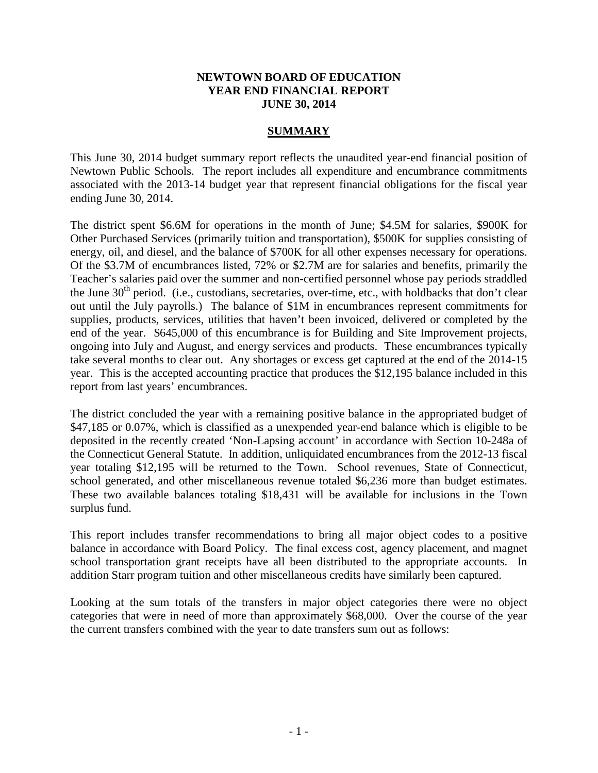## **NEWTOWN BOARD OF EDUCATION YEAR END FINANCIAL REPORT JUNE 30, 2014**

## **SUMMARY**

This June 30, 2014 budget summary report reflects the unaudited year-end financial position of Newtown Public Schools. The report includes all expenditure and encumbrance commitments associated with the 2013-14 budget year that represent financial obligations for the fiscal year ending June 30, 2014.

The district spent \$6.6M for operations in the month of June; \$4.5M for salaries, \$900K for Other Purchased Services (primarily tuition and transportation), \$500K for supplies consisting of energy, oil, and diesel, and the balance of \$700K for all other expenses necessary for operations. Of the \$3.7M of encumbrances listed, 72% or \$2.7M are for salaries and benefits, primarily the Teacher's salaries paid over the summer and non-certified personnel whose pay periods straddled the June  $30<sup>th</sup>$  period. (i.e., custodians, secretaries, over-time, etc., with holdbacks that don't clear out until the July payrolls.) The balance of \$1M in encumbrances represent commitments for supplies, products, services, utilities that haven't been invoiced, delivered or completed by the end of the year. \$645,000 of this encumbrance is for Building and Site Improvement projects, ongoing into July and August, and energy services and products. These encumbrances typically take several months to clear out. Any shortages or excess get captured at the end of the 2014-15 year. This is the accepted accounting practice that produces the \$12,195 balance included in this report from last years' encumbrances.

The district concluded the year with a remaining positive balance in the appropriated budget of \$47,185 or 0.07%, which is classified as a unexpended year-end balance which is eligible to be deposited in the recently created 'Non-Lapsing account' in accordance with Section 10-248a of the Connecticut General Statute. In addition, unliquidated encumbrances from the 2012-13 fiscal year totaling \$12,195 will be returned to the Town. School revenues, State of Connecticut, school generated, and other miscellaneous revenue totaled \$6,236 more than budget estimates. These two available balances totaling \$18,431 will be available for inclusions in the Town surplus fund.

This report includes transfer recommendations to bring all major object codes to a positive balance in accordance with Board Policy. The final excess cost, agency placement, and magnet school transportation grant receipts have all been distributed to the appropriate accounts. In addition Starr program tuition and other miscellaneous credits have similarly been captured.

Looking at the sum totals of the transfers in major object categories there were no object categories that were in need of more than approximately \$68,000. Over the course of the year the current transfers combined with the year to date transfers sum out as follows: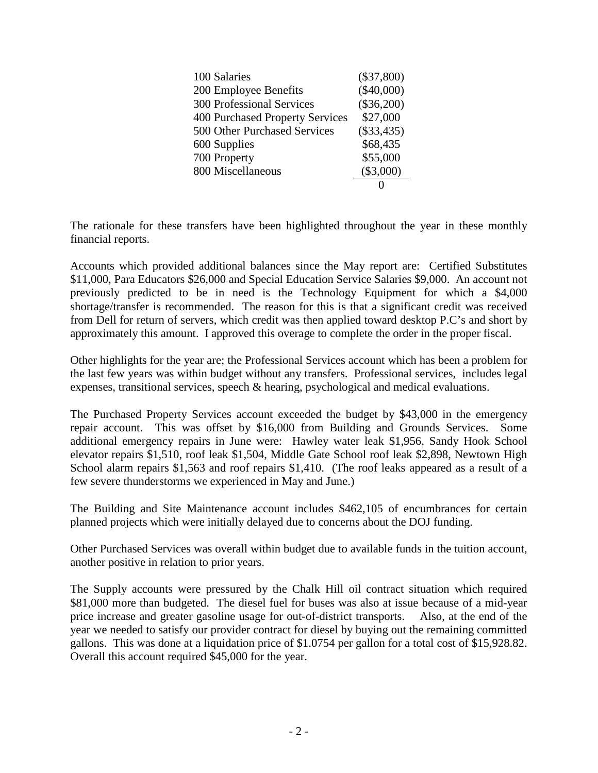| 100 Salaries                     | $(\$37,800)$ |
|----------------------------------|--------------|
| 200 Employee Benefits            | $(\$40,000)$ |
| <b>300 Professional Services</b> | $(\$36,200)$ |
| 400 Purchased Property Services  | \$27,000     |
| 500 Other Purchased Services     | $(\$33,435)$ |
| 600 Supplies                     | \$68,435     |
| 700 Property                     | \$55,000     |
| 800 Miscellaneous                | $(\$3,000)$  |
|                                  |              |

The rationale for these transfers have been highlighted throughout the year in these monthly financial reports.

Accounts which provided additional balances since the May report are: Certified Substitutes \$11,000, Para Educators \$26,000 and Special Education Service Salaries \$9,000. An account not previously predicted to be in need is the Technology Equipment for which a \$4,000 shortage/transfer is recommended. The reason for this is that a significant credit was received from Dell for return of servers, which credit was then applied toward desktop P.C's and short by approximately this amount. I approved this overage to complete the order in the proper fiscal.

Other highlights for the year are; the Professional Services account which has been a problem for the last few years was within budget without any transfers. Professional services, includes legal expenses, transitional services, speech & hearing, psychological and medical evaluations.

The Purchased Property Services account exceeded the budget by \$43,000 in the emergency repair account. This was offset by \$16,000 from Building and Grounds Services. Some additional emergency repairs in June were: Hawley water leak \$1,956, Sandy Hook School elevator repairs \$1,510, roof leak \$1,504, Middle Gate School roof leak \$2,898, Newtown High School alarm repairs \$1,563 and roof repairs \$1,410. (The roof leaks appeared as a result of a few severe thunderstorms we experienced in May and June.)

The Building and Site Maintenance account includes \$462,105 of encumbrances for certain planned projects which were initially delayed due to concerns about the DOJ funding.

Other Purchased Services was overall within budget due to available funds in the tuition account, another positive in relation to prior years.

The Supply accounts were pressured by the Chalk Hill oil contract situation which required \$81,000 more than budgeted. The diesel fuel for buses was also at issue because of a mid-year price increase and greater gasoline usage for out-of-district transports. Also, at the end of the year we needed to satisfy our provider contract for diesel by buying out the remaining committed gallons. This was done at a liquidation price of \$1.0754 per gallon for a total cost of \$15,928.82. Overall this account required \$45,000 for the year.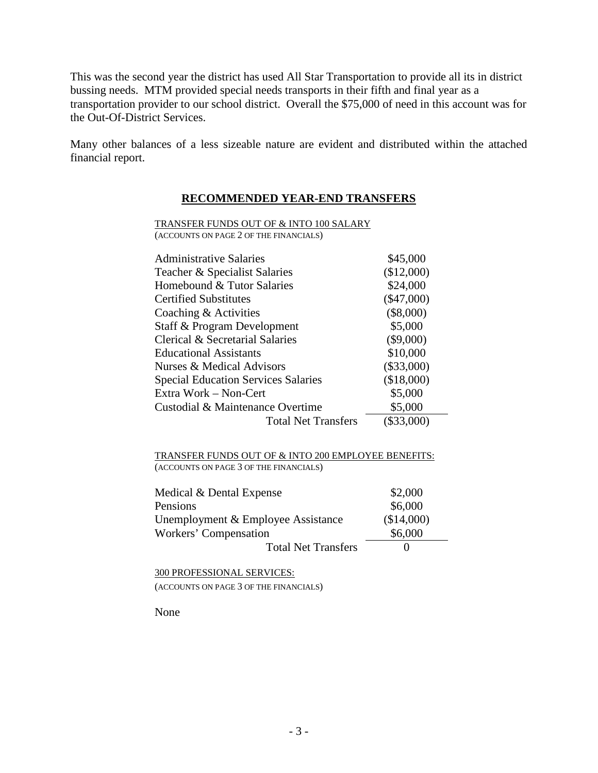This was the second year the district has used All Star Transportation to provide all its in district bussing needs. MTM provided special needs transports in their fifth and final year as a transportation provider to our school district. Overall the \$75,000 of need in this account was for the Out-Of-District Services.

Many other balances of a less sizeable nature are evident and distributed within the attached financial report.

## **RECOMMENDED YEAR-END TRANSFERS**

TRANSFER FUNDS OUT OF & INTO 100 SALARY (ACCOUNTS ON PAGE 2 OF THE FINANCIALS)

| <b>Administrative Salaries</b>             | \$45,000     |
|--------------------------------------------|--------------|
| Teacher & Specialist Salaries              | (\$12,000)   |
| Homebound & Tutor Salaries                 | \$24,000     |
| <b>Certified Substitutes</b>               | $(\$47,000)$ |
| Coaching & Activities                      | $(\$8,000)$  |
| Staff & Program Development                | \$5,000      |
| Clerical & Secretarial Salaries            | $(\$9,000)$  |
| Educational Assistants                     | \$10,000     |
| Nurses & Medical Advisors                  | $(\$33,000)$ |
| <b>Special Education Services Salaries</b> | (\$18,000)   |
| Extra Work – Non-Cert                      | \$5,000      |
| Custodial & Maintenance Overtime           | \$5,000      |
| <b>Total Net Transfers</b>                 | $(\$33,000)$ |

TRANSFER FUNDS OUT OF & INTO 200 EMPLOYEE BENEFITS: (ACCOUNTS ON PAGE 3 OF THE FINANCIALS)

| Medical & Dental Expense           | \$2,000    |
|------------------------------------|------------|
| Pensions                           | \$6,000    |
| Unemployment & Employee Assistance | (\$14,000) |
| Workers' Compensation              | \$6,000    |
| <b>Total Net Transfers</b>         |            |

300 PROFESSIONAL SERVICES: (ACCOUNTS ON PAGE 3 OF THE FINANCIALS)

None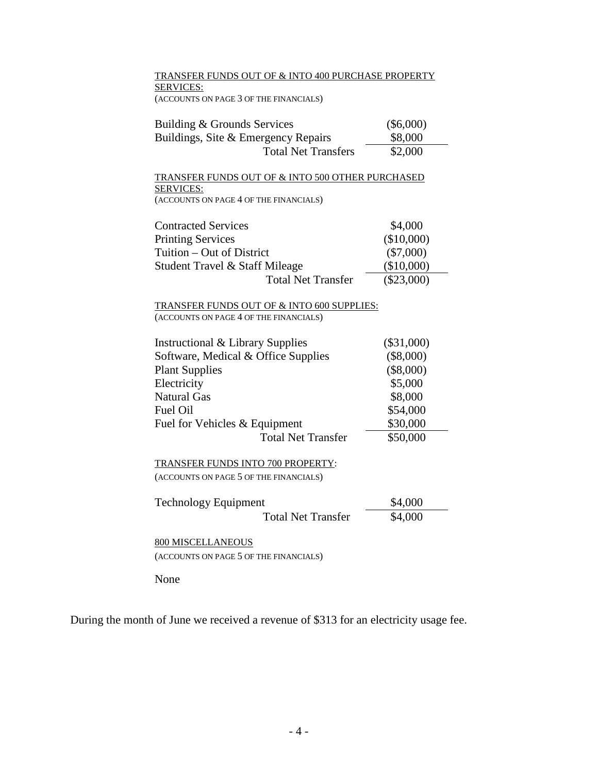TRANSFER FUNDS OUT OF & INTO 400 PURCHASE PROPERTY SERVICES: (ACCOUNTS ON PAGE 3 OF THE FINANCIALS)

| Building & Grounds Services         | $(\$6,000)$ |  |  |  |
|-------------------------------------|-------------|--|--|--|
| Buildings, Site & Emergency Repairs | \$8,000     |  |  |  |
| <b>Total Net Transfers</b>          | \$2,000     |  |  |  |

TRANSFER FUNDS OUT OF & INTO 500 OTHER PURCHASED SERVICES:

(ACCOUNTS ON PAGE 4 OF THE FINANCIALS)

| <b>Contracted Services</b>     | \$4,000      |
|--------------------------------|--------------|
| <b>Printing Services</b>       | (\$10,000)   |
| Tuition – Out of District      | $(\$7,000)$  |
| Student Travel & Staff Mileage | (\$10,000)   |
| <b>Total Net Transfer</b>      | $(\$23,000)$ |

#### TRANSFER FUNDS OUT OF & INTO 600 SUPPLIES: (ACCOUNTS ON PAGE 4 OF THE FINANCIALS)

| <b>Instructional &amp; Library Supplies</b> | $(\$31,000)$ |
|---------------------------------------------|--------------|
| Software, Medical & Office Supplies         | $(\$8,000)$  |
| <b>Plant Supplies</b>                       | $(\$8,000)$  |
| Electricity                                 | \$5,000      |
| <b>Natural Gas</b>                          | \$8,000      |
| Fuel Oil                                    | \$54,000     |
| Fuel for Vehicles & Equipment               | \$30,000     |
| <b>Total Net Transfer</b>                   | \$50,000     |
|                                             |              |

TRANSFER FUNDS INTO 700 PROPERTY: (ACCOUNTS ON PAGE 5 OF THE FINANCIALS)

| <b>Technology Equipment</b> | \$4,000 |
|-----------------------------|---------|
| <b>Total Net Transfer</b>   | \$4,000 |

800 MISCELLANEOUS (ACCOUNTS ON PAGE 5 OF THE FINANCIALS)

None

During the month of June we received a revenue of \$313 for an electricity usage fee.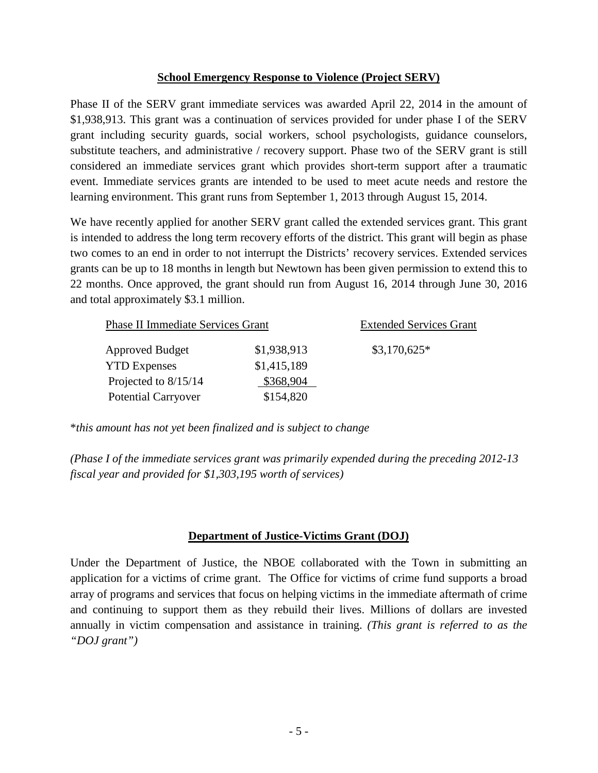## **School Emergency Response to Violence (Project SERV)**

Phase II of the SERV grant immediate services was awarded April 22, 2014 in the amount of \$1,938,913. This grant was a continuation of services provided for under phase I of the SERV grant including security guards, social workers, school psychologists, guidance counselors, substitute teachers, and administrative / recovery support. Phase two of the SERV grant is still considered an immediate services grant which provides short-term support after a traumatic event. Immediate services grants are intended to be used to meet acute needs and restore the learning environment. This grant runs from September 1, 2013 through August 15, 2014.

We have recently applied for another SERV grant called the extended services grant. This grant is intended to address the long term recovery efforts of the district. This grant will begin as phase two comes to an end in order to not interrupt the Districts' recovery services. Extended services grants can be up to 18 months in length but Newtown has been given permission to extend this to 22 months. Once approved, the grant should run from August 16, 2014 through June 30, 2016 and total approximately \$3.1 million.

| <b>Phase II Immediate Services Grant</b> | <b>Extended Services Grant</b> |               |
|------------------------------------------|--------------------------------|---------------|
| <b>Approved Budget</b>                   | \$1,938,913                    | $$3,170,625*$ |
| <b>YTD</b> Expenses                      | \$1,415,189                    |               |
| Projected to $8/15/14$                   | \$368,904                      |               |
| <b>Potential Carryover</b>               | \$154,820                      |               |

\**this amount has not yet been finalized and is subject to change*

*(Phase I of the immediate services grant was primarily expended during the preceding 2012-13 fiscal year and provided for \$1,303,195 worth of services)*

## **Department of Justice-Victims Grant (DOJ)**

Under the Department of Justice, the NBOE collaborated with the Town in submitting an application for a victims of crime grant. The Office for victims of crime fund supports a broad array of programs and services that focus on helping victims in the immediate aftermath of crime and continuing to support them as they rebuild their lives. Millions of dollars are invested annually in victim compensation and assistance in training. *(This grant is referred to as the "DOJ grant")*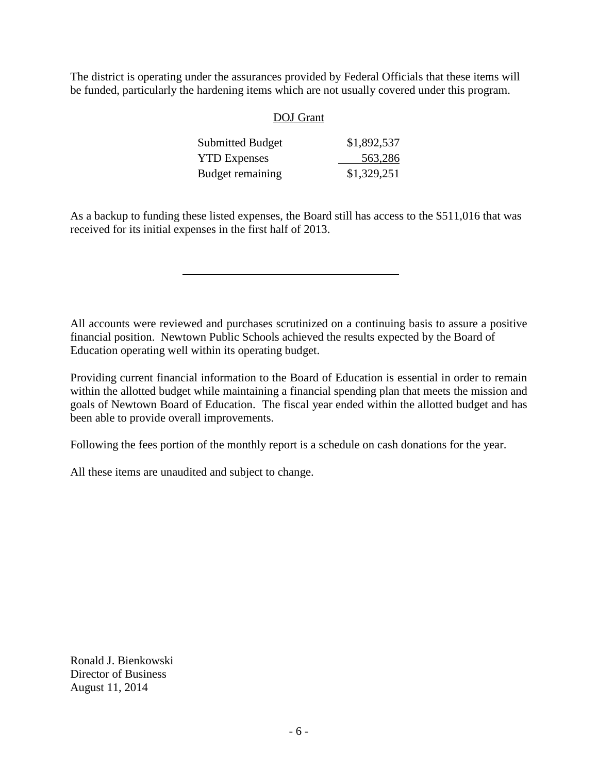The district is operating under the assurances provided by Federal Officials that these items will be funded, particularly the hardening items which are not usually covered under this program.

## DOJ Grant

| <b>Submitted Budget</b> | \$1,892,537 |
|-------------------------|-------------|
| <b>YTD Expenses</b>     | 563,286     |
| Budget remaining        | \$1,329,251 |

As a backup to funding these listed expenses, the Board still has access to the \$511,016 that was received for its initial expenses in the first half of 2013.

All accounts were reviewed and purchases scrutinized on a continuing basis to assure a positive financial position. Newtown Public Schools achieved the results expected by the Board of Education operating well within its operating budget.

Providing current financial information to the Board of Education is essential in order to remain within the allotted budget while maintaining a financial spending plan that meets the mission and goals of Newtown Board of Education. The fiscal year ended within the allotted budget and has been able to provide overall improvements.

Following the fees portion of the monthly report is a schedule on cash donations for the year.

All these items are unaudited and subject to change.

Ronald J. Bienkowski Director of Business August 11, 2014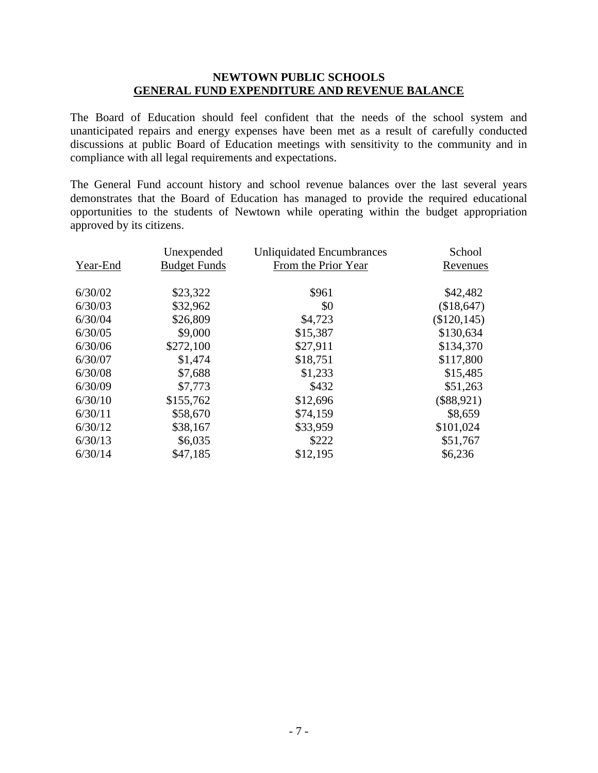## **NEWTOWN PUBLIC SCHOOLS GENERAL FUND EXPENDITURE AND REVENUE BALANCE**

The Board of Education should feel confident that the needs of the school system and unanticipated repairs and energy expenses have been met as a result of carefully conducted discussions at public Board of Education meetings with sensitivity to the community and in compliance with all legal requirements and expectations.

The General Fund account history and school revenue balances over the last several years demonstrates that the Board of Education has managed to provide the required educational opportunities to the students of Newtown while operating within the budget appropriation approved by its citizens.

| Unexpended          | <b>Unliquidated Encumbrances</b> | School         |
|---------------------|----------------------------------|----------------|
| <b>Budget Funds</b> | From the Prior Year              | Revenues       |
|                     |                                  |                |
| \$23,322            | \$961                            | \$42,482       |
| \$32,962            | \$0                              | (\$18,647)     |
| \$26,809            | \$4,723                          | $(\$120, 145)$ |
| \$9,000             | \$15,387                         | \$130,634      |
| \$272,100           | \$27,911                         | \$134,370      |
| \$1,474             | \$18,751                         | \$117,800      |
| \$7,688             | \$1,233                          | \$15,485       |
| \$7,773             | \$432                            | \$51,263       |
| \$155,762           | \$12,696                         | $(\$88,921)$   |
| \$58,670            | \$74,159                         | \$8,659        |
| \$38,167            | \$33,959                         | \$101,024      |
| \$6,035             | \$222                            | \$51,767       |
| \$47,185            | \$12,195                         | \$6,236        |
|                     |                                  |                |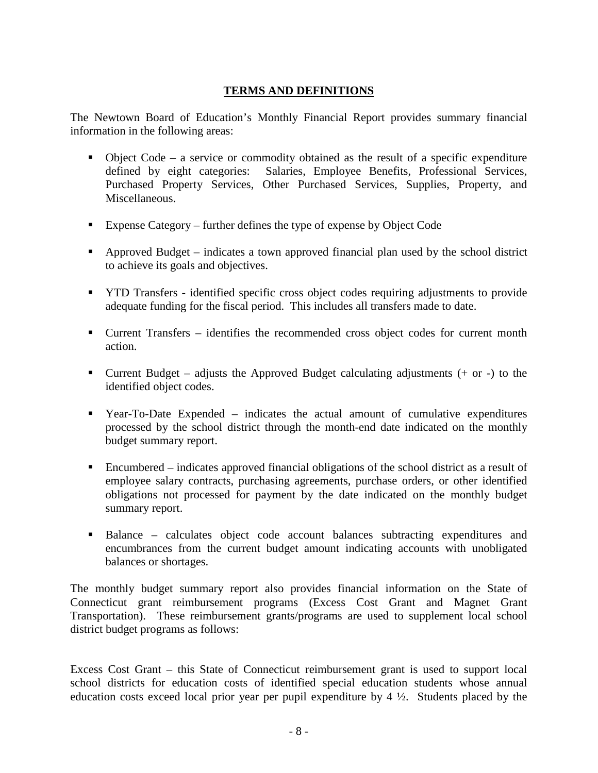## **TERMS AND DEFINITIONS**

The Newtown Board of Education's Monthly Financial Report provides summary financial information in the following areas:

- $\blacksquare$  Object Code a service or commodity obtained as the result of a specific expenditure defined by eight categories: Salaries, Employee Benefits, Professional Services, Purchased Property Services, Other Purchased Services, Supplies, Property, and Miscellaneous.
- Expense Category further defines the type of expense by Object Code
- Approved Budget indicates a town approved financial plan used by the school district to achieve its goals and objectives.
- **THE TRANSFER** identified specific cross object codes requiring adjustments to provide adequate funding for the fiscal period. This includes all transfers made to date.
- Current Transfers identifies the recommended cross object codes for current month action.
- Current Budget adjusts the Approved Budget calculating adjustments (+ or -) to the identified object codes.
- Year-To-Date Expended indicates the actual amount of cumulative expenditures processed by the school district through the month-end date indicated on the monthly budget summary report.
- Encumbered indicates approved financial obligations of the school district as a result of employee salary contracts, purchasing agreements, purchase orders, or other identified obligations not processed for payment by the date indicated on the monthly budget summary report.
- Balance calculates object code account balances subtracting expenditures and encumbrances from the current budget amount indicating accounts with unobligated balances or shortages.

The monthly budget summary report also provides financial information on the State of Connecticut grant reimbursement programs (Excess Cost Grant and Magnet Grant Transportation). These reimbursement grants/programs are used to supplement local school district budget programs as follows:

Excess Cost Grant – this State of Connecticut reimbursement grant is used to support local school districts for education costs of identified special education students whose annual education costs exceed local prior year per pupil expenditure by 4 ½. Students placed by the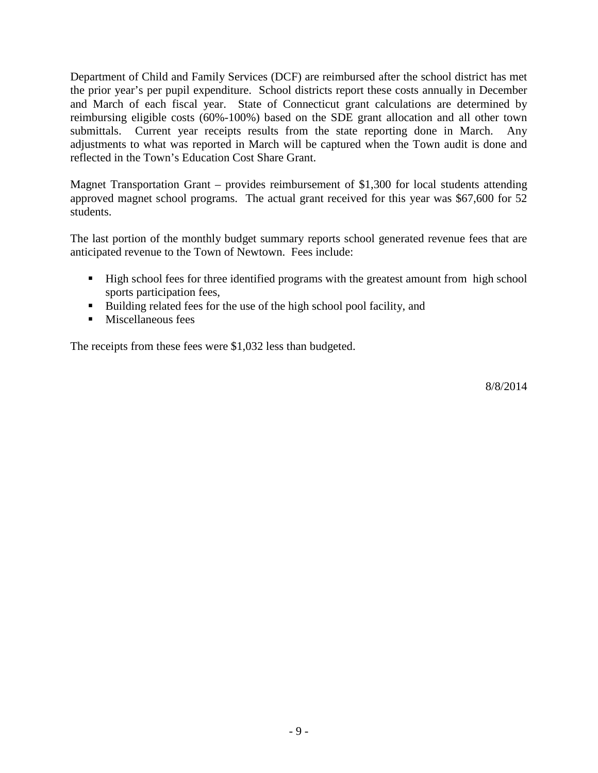Department of Child and Family Services (DCF) are reimbursed after the school district has met the prior year's per pupil expenditure. School districts report these costs annually in December and March of each fiscal year. State of Connecticut grant calculations are determined by reimbursing eligible costs (60%-100%) based on the SDE grant allocation and all other town submittals. Current year receipts results from the state reporting done in March. Any adjustments to what was reported in March will be captured when the Town audit is done and reflected in the Town's Education Cost Share Grant.

Magnet Transportation Grant – provides reimbursement of \$1,300 for local students attending approved magnet school programs. The actual grant received for this year was \$67,600 for 52 students.

The last portion of the monthly budget summary reports school generated revenue fees that are anticipated revenue to the Town of Newtown. Fees include:

- High school fees for three identified programs with the greatest amount from high school sports participation fees,
- Building related fees for the use of the high school pool facility, and
- **Miscellaneous fees**

The receipts from these fees were \$1,032 less than budgeted.

8/8/2014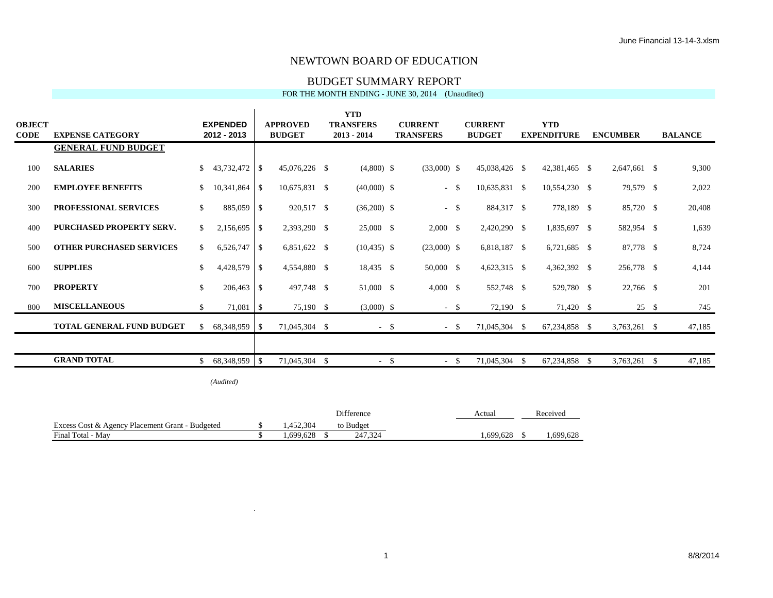#### BUDGET SUMMARY REPORT

#### FOR THE MONTH ENDING - JUNE 30, 2014 (Unaudited)

| <b>YTD</b> |                                 |               |                 |    |                 |  |                  |        |                  |        |                |      |                    |     |                 |      |                |
|------------|---------------------------------|---------------|-----------------|----|-----------------|--|------------------|--------|------------------|--------|----------------|------|--------------------|-----|-----------------|------|----------------|
| OBJECT     |                                 |               | <b>EXPENDED</b> |    | <b>APPROVED</b> |  | <b>TRANSFERS</b> |        | <b>CURRENT</b>   |        | <b>CURRENT</b> |      | <b>YTD</b>         |     |                 |      |                |
| CODE       | <b>EXPENSE CATEGORY</b>         |               | 2012 - 2013     |    | <b>BUDGET</b>   |  | $2013 - 2014$    |        | <b>TRANSFERS</b> |        | <b>BUDGET</b>  |      | <b>EXPENDITURE</b> |     | <b>ENCUMBER</b> |      | <b>BALANCE</b> |
|            | <b>GENERAL FUND BUDGET</b>      |               |                 |    |                 |  |                  |        |                  |        |                |      |                    |     |                 |      |                |
| 100        | <b>SALARIES</b>                 | $\mathbb{S}$  | $43,732,472$ \$ |    | 45,076,226 \$   |  | $(4,800)$ \$     |        | $(33,000)$ \$    |        | 45,038,426 \$  |      | 42,381,465 \$      |     | 2,647,661 \$    |      | 9,300          |
| 200        | <b>EMPLOYEE BENEFITS</b>        | <sup>\$</sup> | $10,341,864$ \$ |    | 10,675,831 \$   |  | $(40,000)$ \$    |        |                  | $-$ \$ | 10,635,831 \$  |      | 10,554,230 \$      |     | 79,579 \$       |      | 2,022          |
| 300        | PROFESSIONAL SERVICES           | <sup>\$</sup> | 885,059 \$      |    | 920,517 \$      |  | $(36,200)$ \$    |        |                  | $-$ \$ | 884,317 \$     |      | 778,189 \$         |     | 85,720 \$       |      | 20,408         |
| 400        | <b>PURCHASED PROPERTY SERV.</b> | <sup>\$</sup> | $2,156,695$ \$  |    | 2,393,290 \$    |  | 25,000 \$        |        | $2,000 \quad$ \$ |        | 2,420,290 \$   |      | 1,835,697 \$       |     | 582,954 \$      |      | 1,639          |
| 500        | <b>OTHER PURCHASED SERVICES</b> | <sup>\$</sup> | 6,526,747       | -S | 6,851,622 \$    |  | $(10, 435)$ \$   |        | $(23,000)$ \$    |        | 6,818,187 \$   |      | $6,721,685$ \$     |     | 87,778 \$       |      | 8,724          |
| 600        | <b>SUPPLIES</b>                 | \$            |                 |    | 4,554,880 \$    |  | 18,435 \$        |        | 50,000 \$        |        | 4,623,315 \$   |      | 4,362,392 \$       |     | 256,778 \$      |      | 4,144          |
| 700        | <b>PROPERTY</b>                 | $\mathbb{S}$  | 206,463 \$      |    | 497,748 \$      |  | 51,000 \$        |        | $4,000 \quad$ \$ |        | 552,748 \$     |      | 529,780 \$         |     | 22,766 \$       |      | 201            |
| 800        | <b>MISCELLANEOUS</b>            | <sup>\$</sup> | $71,081$ \$     |    | 75,190 \$       |  | $(3,000)$ \$     |        |                  | $-$ \$ | 72,190 \$      |      | 71,420 \$          |     | 25S             |      | 745            |
|            | TOTAL GENERAL FUND BUDGET       | <sup>\$</sup> | 68,348,959 \$   |    | 71,045,304 \$   |  |                  | $-$ \$ |                  | $-$ \$ | 71,045,304 \$  |      | 67,234,858 \$      |     | $3,763,261$ \$  |      | 47,185         |
|            |                                 |               |                 |    |                 |  |                  |        |                  |        |                |      |                    |     |                 |      |                |
|            | <b>GRAND TOTAL</b>              | \$.           | 68,348,959 \$   |    | 71,045,304 \$   |  | $-$ \$           |        |                  | $-$ \$ | 71,045,304     | - \$ | 67,234,858         | - S | 3,763,261       | - \$ | 47,185         |
|            |                                 |               |                 |    |                 |  |                  |        |                  |        |                |      |                    |     |                 |      |                |

*(Audited)*

 $\blacksquare$ 

×.

χ,

χ,

|                                                 |          | <b>Difference</b> | Actual   | Received |
|-------------------------------------------------|----------|-------------------|----------|----------|
| Excess Cost & Agency Placement Grant - Budgeted | ,452,304 | to Budget         |          |          |
| Final Total - May                               | .699.628 | 247.324           | .699.628 | .699.628 |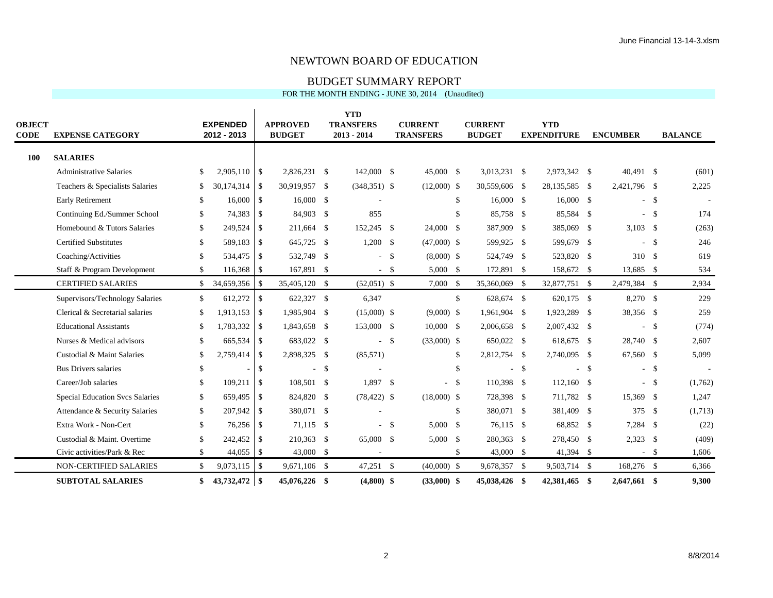#### BUDGET SUMMARY REPORT

 $\mathcal{L}$ 

| <b>OBJECT</b><br>CODE | <b>EXPENSE CATEGORY</b>                |               | <b>EXPENDED</b><br>2012 - 2013 |               | <b>APPROVED</b><br><b>BUDGET</b> |    | <b>YTD</b><br><b>TRANSFERS</b><br>$2013 - 2014$ | <b>CURRENT</b><br><b>TRANSFERS</b> |               | <b>CURRENT</b><br><b>BUDGET</b> |              | <b>YTD</b><br><b>EXPENDITURE</b> |               | <b>ENCUMBER</b> |        | <b>BALANCE</b> |
|-----------------------|----------------------------------------|---------------|--------------------------------|---------------|----------------------------------|----|-------------------------------------------------|------------------------------------|---------------|---------------------------------|--------------|----------------------------------|---------------|-----------------|--------|----------------|
| <b>100</b>            | <b>SALARIES</b>                        |               |                                |               |                                  |    |                                                 |                                    |               |                                 |              |                                  |               |                 |        |                |
|                       | <b>Administrative Salaries</b>         | \$            | $2,905,110$ \\$                |               | 2,826,231 \$                     |    | 142,000 \$                                      | 45,000 \$                          |               | 3,013,231 \$                    |              | 2,973,342 \$                     |               | 40,491 \$       |        | (601)          |
|                       | Teachers & Specialists Salaries        | <sup>\$</sup> | 30,174,314                     | \$            | 30,919,957 \$                    |    | $(348,351)$ \$                                  | $(12,000)$ \$                      |               | 30,559,606 \$                   |              | 28,135,585 \$                    |               | 2,421,796 \$    |        | 2,225          |
|                       | <b>Early Retirement</b>                | <sup>\$</sup> | 16,000                         | <sup>\$</sup> | $16,000$ \$                      |    |                                                 |                                    | \$            | 16,000 \$                       |              | $16,000$ \$                      |               |                 | $-$ \$ |                |
|                       | Continuing Ed./Summer School           | \$            | 74,383                         | \$            | 84,903 \$                        |    | 855                                             |                                    | \$            | 85,758 \$                       |              | 85,584 \$                        |               |                 | $-$ \$ | 174            |
|                       | Homebound & Tutors Salaries            | <sup>\$</sup> | 249,524                        | <sup>\$</sup> | 211,664 \$                       |    | 152,245 \$                                      | 24,000 \$                          |               | 387,909 \$                      |              | 385,069                          | - \$          | $3,103$ \$      |        | (263)          |
|                       | <b>Certified Substitutes</b>           | <sup>\$</sup> | 589,183                        | \$            | 645,725 \$                       |    | $1,200$ \$                                      | $(47,000)$ \$                      |               | 599,925 \$                      |              | 599,679                          | - \$          | $\sim$          | -\$    | 246            |
|                       | Coaching/Activities                    | <sup>\$</sup> | 534,475                        | -S            | 532,749 \$                       |    | $-$ \$                                          | $(8,000)$ \$                       |               | 524,749 \$                      |              | 523,820 \$                       |               | 310 \$          |        | 619            |
|                       | Staff & Program Development            | \$            | 116,368 \$                     |               | 167,891 \$                       |    | $-$ \$                                          | $5,000$ \$                         |               | 172,891 \$                      |              | 158,672 \$                       |               | 13,685 \$       |        | 534            |
|                       | <b>CERTIFIED SALARIES</b>              | S.            | 34,659,356                     | \$            | 35,405,120 \$                    |    | $(52,051)$ \$                                   | $7,000$ \$                         |               | 35,360,069 \$                   |              | 32,877,751 \$                    |               | 2,479,384 \$    |        | 2,934          |
|                       | Supervisors/Technology Salaries        | \$            | 612,272                        | $\mathbb{S}$  | 622,327 \$                       |    | 6,347                                           |                                    | $\mathbb{S}$  | 628,674 \$                      |              | 620,175 \$                       |               | 8,270 \$        |        | 229            |
|                       | Clerical & Secretarial salaries        | <sup>\$</sup> | 1,913,153                      | \$            | 1,985,904 \$                     |    | $(15,000)$ \$                                   | $(9,000)$ \$                       |               | 1,961,904 \$                    |              | 1,923,289                        | -\$           | 38,356 \$       |        | 259            |
|                       | <b>Educational Assistants</b>          | <sup>\$</sup> | 1,783,332                      | <sup>\$</sup> | 1,843,658 \$                     |    | 153,000 \$                                      | $10,000$ \$                        |               | 2,006,658 \$                    |              | 2,007,432 \$                     |               |                 | $-$ \$ | (774)          |
|                       | Nurses & Medical advisors              | \$            | 665,534                        | \$            | 683,022 \$                       |    | $-$ \$                                          | $(33,000)$ \$                      |               | 650,022 \$                      |              | 618,675 \$                       |               | 28,740 \$       |        | 2,607          |
|                       | Custodial & Maint Salaries             | \$            | 2,759,414                      | -S            | 2,898,325 \$                     |    | (85,571)                                        |                                    | \$.           | 2,812,754 \$                    |              | 2,740,095 \$                     |               | 67,560 \$       |        | 5,099          |
|                       | <b>Bus Drivers salaries</b>            | \$            |                                | \$            |                                  | -S |                                                 |                                    | <sup>\$</sup> | $\sim$                          | $\mathbb{S}$ |                                  | <sup>\$</sup> |                 | $-$ \$ |                |
|                       | Career/Job salaries                    | \$            | 109,211                        | \$            | 108,501 \$                       |    | $1,897$ \$                                      |                                    | - \$          | 110,398 \$                      |              | $112,160$ \$                     |               |                 | $-$ \$ | (1,762)        |
|                       | <b>Special Education Svcs Salaries</b> | \$            | 659,495                        | <sup>\$</sup> | 824,820 \$                       |    | $(78, 422)$ \$                                  | $(18,000)$ \$                      |               | 728,398 \$                      |              | 711,782 \$                       |               | 15,369 \$       |        | 1,247          |
|                       | Attendance & Security Salaries         | \$            | 207,942                        | \$            | 380,071 \$                       |    |                                                 |                                    | \$            | 380,071 \$                      |              | 381,409                          | - \$          | 375 \$          |        | (1,713)        |
|                       | Extra Work - Non-Cert                  | \$.           | 76,256                         | -S            | 71,115 \$                        |    | $-$ \$                                          | 5,000 S                            |               | 76,115 \$                       |              | 68,852 \$                        |               | 7,284 \$        |        | (22)           |
|                       | Custodial & Maint. Overtime            | <sup>\$</sup> | 242,452                        | <sup>\$</sup> | 210,363 \$                       |    | 65,000 \$                                       | 5,000 S                            |               | 280,363 \$                      |              | 278,450 \$                       |               | $2,323$ \$      |        | (409)          |
|                       | Civic activities/Park & Rec            | \$            |                                |               | 43,000 \$                        |    |                                                 |                                    | \$            | 43,000 \$                       |              | 41,394 \$                        |               |                 | $-$ \$ | 1,606          |
|                       | NON-CERTIFIED SALARIES                 | \$            | 9,073,115                      | - \$          | 9,671,106 \$                     |    | $47,251$ \$                                     | $(40,000)$ \$                      |               | 9,678,357 \$                    |              | 9,503,714 \$                     |               | 168,276 \$      |        | 6,366          |
|                       | <b>SUBTOTAL SALARIES</b>               | \$            | $43,732,472$ \\$               |               | 45,076,226 \$                    |    | $(4,800)$ \$                                    | $(33,000)$ \$                      |               | 45.038.426 \$                   |              | 42,381,465                       | -\$           | 2,647,661 \$    |        | 9.300          |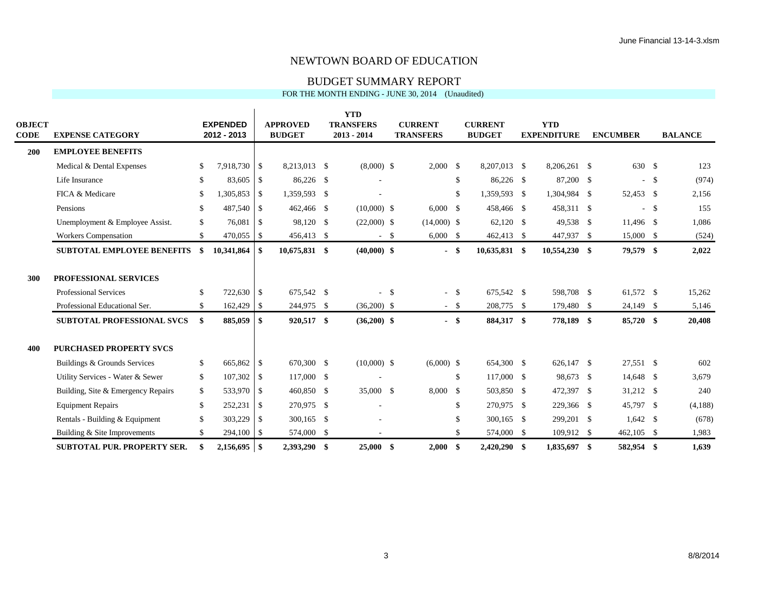#### BUDGET SUMMARY REPORT

|                              |                                    |               |                                |               |                                  | <b>YTD</b>                        |                                    |     |                                 |                                  |                 |                |
|------------------------------|------------------------------------|---------------|--------------------------------|---------------|----------------------------------|-----------------------------------|------------------------------------|-----|---------------------------------|----------------------------------|-----------------|----------------|
| <b>OBJECT</b><br><b>CODE</b> | <b>EXPENSE CATEGORY</b>            |               | <b>EXPENDED</b><br>2012 - 2013 |               | <b>APPROVED</b><br><b>BUDGET</b> | <b>TRANSFERS</b><br>$2013 - 2014$ | <b>CURRENT</b><br><b>TRANSFERS</b> |     | <b>CURRENT</b><br><b>BUDGET</b> | <b>YTD</b><br><b>EXPENDITURE</b> | <b>ENCUMBER</b> | <b>BALANCE</b> |
|                              |                                    |               |                                |               |                                  |                                   |                                    |     |                                 |                                  |                 |                |
| 200                          | <b>EMPLOYEE BENEFITS</b>           |               |                                |               |                                  |                                   |                                    |     |                                 |                                  |                 |                |
|                              | Medical & Dental Expenses          | <sup>\$</sup> | 7,918,730 \$                   |               | 8,213,013 \$                     | $(8,000)$ \$                      | $2,000 \quad$ \$                   |     | 8,207,013 \$                    | 8.206.261 \$                     | 630 \$          | 123            |
|                              | Life Insurance                     | <sup>\$</sup> | 83,605                         | -\$           | 86,226 \$                        |                                   |                                    | \$  | 86,226 \$                       | 87,200 \$                        | $-$ \$          | (974)          |
|                              | FICA & Medicare                    | \$            | 1,305,853                      | - S           | 1,359,593 \$                     |                                   |                                    | \$  | 1,359,593 \$                    | 1,304,984 \$                     | 52,453 \$       | 2,156          |
|                              | Pensions                           | <sup>\$</sup> | 487,540 \$                     |               | 462,466 \$                       | $(10,000)$ \$                     | $6,000 \quad$ \$                   |     | 458,466 \$                      | 458,311 \$                       | $-$ \$          | 155            |
|                              | Unemployment & Employee Assist.    | <sup>\$</sup> | 76,081                         | -\$           | 98,120 \$                        | $(22,000)$ \$                     | $(14,000)$ \$                      |     | 62,120 \$                       | 49,538 \$                        | 11,496 \$       | 1,086          |
|                              | <b>Workers Compensation</b>        | \$            | 470,055 \$                     |               | 456,413 \$                       | $-$ \$                            | $6,000$ \$                         |     | 462,413 \$                      | 447,937 \$                       | 15,000 \$       | (524)          |
|                              | <b>SUBTOTAL EMPLOYEE BENEFITS</b>  | \$            |                                |               | 10,675,831 \$                    | $(40,000)$ \$                     | - \$                               |     | $10,635,831$ \$                 | 10,554,230 \$                    | 79,579 \$       | 2,022          |
|                              |                                    |               |                                |               |                                  |                                   |                                    |     |                                 |                                  |                 |                |
| 300                          | PROFESSIONAL SERVICES              |               |                                |               |                                  |                                   |                                    |     |                                 |                                  |                 |                |
|                              | <b>Professional Services</b>       | <sup>\$</sup> | 722,630 \$                     |               | 675,542 \$                       | $-$ \$                            | $-$ \$                             |     | 675,542 \$                      | 598,708 \$                       | 61,572 \$       | 15,262         |
|                              | Professional Educational Ser.      | \$.           | 162,429                        | <sup>\$</sup> | 244,975 \$                       | $(36,200)$ \$                     | $- S$                              |     | 208,775 \$                      | 179,480 \$                       | 24,149 \$       | 5,146          |
|                              | <b>SUBTOTAL PROFESSIONAL SVCS</b>  | \$.           | 885,059                        | \$            | 920,517 \$                       | $(36,200)$ \$                     | $-$ \$                             |     | 884,317 \$                      | 778,189 \$                       | 85,720 \$       | 20,408         |
|                              |                                    |               |                                |               |                                  |                                   |                                    |     |                                 |                                  |                 |                |
| 400                          | <b>PURCHASED PROPERTY SVCS</b>     |               |                                |               |                                  |                                   |                                    |     |                                 |                                  |                 |                |
|                              | Buildings & Grounds Services       | <sup>\$</sup> | 665,862 \$                     |               | 670,300 \$                       | $(10,000)$ \$                     | $(6,000)$ \$                       |     | 654,300 \$                      | 626,147 \$                       | 27,551 \$       | 602            |
|                              | Utility Services - Water & Sewer   | \$            | 107,302                        | -S            | 117,000 \$                       |                                   |                                    | \$  | 117,000 \$                      | 98,673 \$                        | 14,648 \$       | 3,679          |
|                              | Building, Site & Emergency Repairs | <sup>\$</sup> | 533,970 \$                     |               | 460,850 \$                       | 35,000 \$                         | 8,000 \$                           |     | 503,850 \$                      | 472,397 \$                       | 31,212 \$       | 240            |
|                              | <b>Equipment Repairs</b>           | <sup>\$</sup> | 252,231                        | - \$          | 270,975 \$                       |                                   |                                    | \$  | 270,975 \$                      | 229,366 \$                       | 45,797 \$       | (4,188)        |
|                              | Rentals - Building & Equipment     | <sup>\$</sup> | 303,229                        | - \$          | 300,165 \$                       |                                   |                                    | \$  | 300,165 \$                      | 299,201 \$                       | $1,642$ \$      | (678)          |
|                              | Building & Site Improvements       | \$.           | 294,100 \$                     |               | 574,000 \$                       |                                   |                                    | \$  | 574,000 \$                      | 109,912 \$                       | $462,105$ \$    | 1,983          |
|                              | <b>SUBTOTAL PUR. PROPERTY SER.</b> |               |                                |               | 2,393,290 \$                     | $25,000$ \$                       | 2,000                              | -\$ | 2,420,290 \$                    | 1,835,697 \$                     | 582,954 \$      | 1,639          |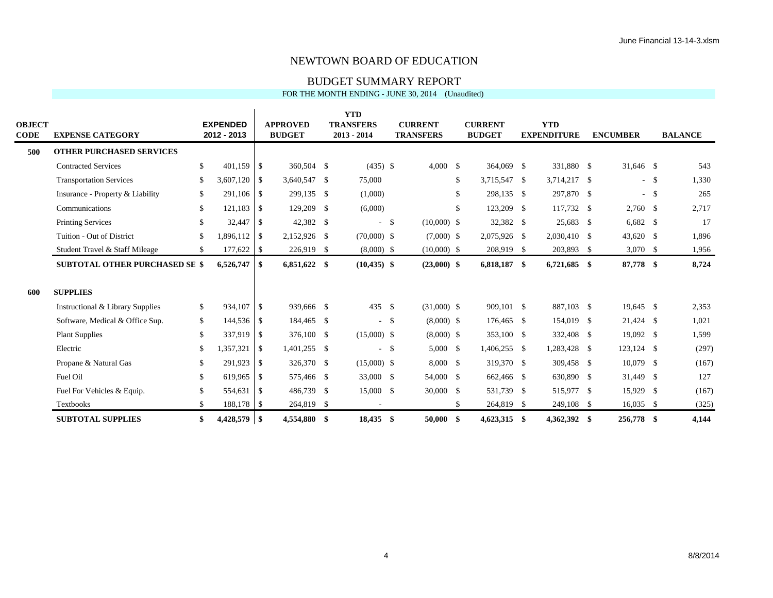#### BUDGET SUMMARY REPORT

|                       |                                       |               |                                |      |                                  | <b>YTD</b>       |        |                                    |               |                                 |                                  |     |                 |        |                |
|-----------------------|---------------------------------------|---------------|--------------------------------|------|----------------------------------|------------------|--------|------------------------------------|---------------|---------------------------------|----------------------------------|-----|-----------------|--------|----------------|
| <b>OBJECT</b><br>CODE |                                       |               | <b>EXPENDED</b><br>2012 - 2013 |      | <b>APPROVED</b><br><b>BUDGET</b> | <b>TRANSFERS</b> |        | <b>CURRENT</b><br><b>TRANSFERS</b> |               | <b>CURRENT</b><br><b>BUDGET</b> | <b>YTD</b><br><b>EXPENDITURE</b> |     | <b>ENCUMBER</b> |        | <b>BALANCE</b> |
|                       | <b>EXPENSE CATEGORY</b>               |               |                                |      |                                  | $2013 - 2014$    |        |                                    |               |                                 |                                  |     |                 |        |                |
| 500                   | <b>OTHER PURCHASED SERVICES</b>       |               |                                |      |                                  |                  |        |                                    |               |                                 |                                  |     |                 |        |                |
|                       | <b>Contracted Services</b>            | \$            | $401,159$ \$                   |      | 360,504 \$                       | $(435)$ \$       |        | $4,000$ \$                         |               | 364,069 \$                      | 331,880 \$                       |     | 31,646 \$       |        | 543            |
|                       | <b>Transportation Services</b>        | <sup>\$</sup> | $3,607,120$ \$                 |      | 3,640,547 \$                     | 75,000           |        |                                    | \$            | 3,715,547 \$                    | 3,714,217                        | -\$ |                 | $-$ \$ | 1,330          |
|                       | Insurance - Property & Liability      | \$            | 291,106 \$                     |      | 299,135 \$                       | (1,000)          |        |                                    | \$            | 298,135 \$                      | 297,870 \$                       |     |                 | $-$ \$ | 265            |
|                       | Communications                        | \$            | 121,183                        | -S   | 129,209 \$                       | (6,000)          |        |                                    | <sup>\$</sup> | 123,209 \$                      | 117,732 \$                       |     | $2,760$ \$      |        | 2,717          |
|                       | <b>Printing Services</b>              | $\mathbb{S}$  | 32,447                         | -S   | 42,382 \$                        |                  | $-$ \$ | $(10,000)$ \$                      |               | 32,382 \$                       | 25,683 \$                        |     | $6,682$ \$      |        | 17             |
|                       | Tuition - Out of District             | $\mathbb{S}$  | $1,896,112$ \$                 |      | 2,152,926 \$                     | $(70,000)$ \$    |        | $(7,000)$ \$                       |               | 2,075,926 \$                    | 2,030,410 \$                     |     | 43,620 \$       |        | 1,896          |
|                       | Student Travel & Staff Mileage        | $\mathbb{S}$  | $177,622$ \$                   |      | 226,919 \$                       | $(8,000)$ \$     |        | $(10,000)$ \$                      |               | 208,919 \$                      | 203,893 \$                       |     | $3,070$ \$      |        | 1,956          |
|                       | <b>SUBTOTAL OTHER PURCHASED SE \$</b> |               | 6,526,747                      | - \$ | 6,851,622 \$                     | $(10, 435)$ \$   |        | $(23,000)$ \$                      |               | 6,818,187 \$                    | 6,721,685 \$                     |     | 87,778 \$       |        | 8,724          |
| 600                   | <b>SUPPLIES</b>                       |               |                                |      |                                  |                  |        |                                    |               |                                 |                                  |     |                 |        |                |
|                       | Instructional & Library Supplies      | $\mathbb{S}$  | 934,107 \$                     |      | 939,666 \$                       | 435S             |        | $(31,000)$ \$                      |               | 909,101 \$                      | 887,103 \$                       |     | 19,645 \$       |        | 2,353          |
|                       | Software, Medical & Office Sup.       | $\mathbb{S}$  | 144,536 \$                     |      | 184,465 \$                       |                  | $-$ \$ | $(8,000)$ \$                       |               | 176,465 \$                      | 154,019 \$                       |     | 21,424 \$       |        | 1,021          |
|                       | <b>Plant Supplies</b>                 | <sup>\$</sup> | 337,919 \$                     |      | 376,100 \$                       | $(15,000)$ \$    |        | $(8,000)$ \$                       |               | 353,100 \$                      | 332,408 \$                       |     | 19,092 \$       |        | 1,599          |
|                       | Electric                              | $\mathcal{S}$ | 1,357,321                      | -S   | 1,401,255 \$                     |                  | $-$ \$ | 5,000 \$                           |               | 1,406,255 \$                    | 1,283,428 \$                     |     | 123,124 \$      |        | (297)          |
|                       | Propane & Natural Gas                 | $\mathbb{S}$  | 291,923 \$                     |      | 326,370 \$                       | $(15,000)$ \$    |        | $8,000$ \$                         |               | 319,370 \$                      | 309,458 \$                       |     | 10,079 \$       |        | (167)          |
|                       | Fuel Oil                              | <sup>\$</sup> | 619,965                        | -\$  | 575,466 \$                       | 33,000 \$        |        | 54,000 \$                          |               | 662,466 \$                      | 630,890 \$                       |     | 31,449 \$       |        | 127            |
|                       | Fuel For Vehicles & Equip.            | <sup>\$</sup> | 554,631                        | -S   | 486,739 \$                       | 15,000 \$        |        | 30,000 \$                          |               | 531,739 \$                      | 515,977 \$                       |     | 15,929          | - \$   | (167)          |
|                       | Textbooks                             | \$            | 188,178 \$                     |      | 264,819 \$                       |                  |        |                                    | \$            | 264,819 \$                      | 249,108 \$                       |     | $16,035$ \$     |        | (325)          |
|                       | <b>SUBTOTAL SUPPLIES</b>              | \$            | $4,428,579$ \\$                |      | 4,554,880 \$                     | 18,435 \$        |        | $50,000$ \$                        |               | 4,623,315 \$                    | 4,362,392 \$                     |     | 256,778 \$      |        | 4,144          |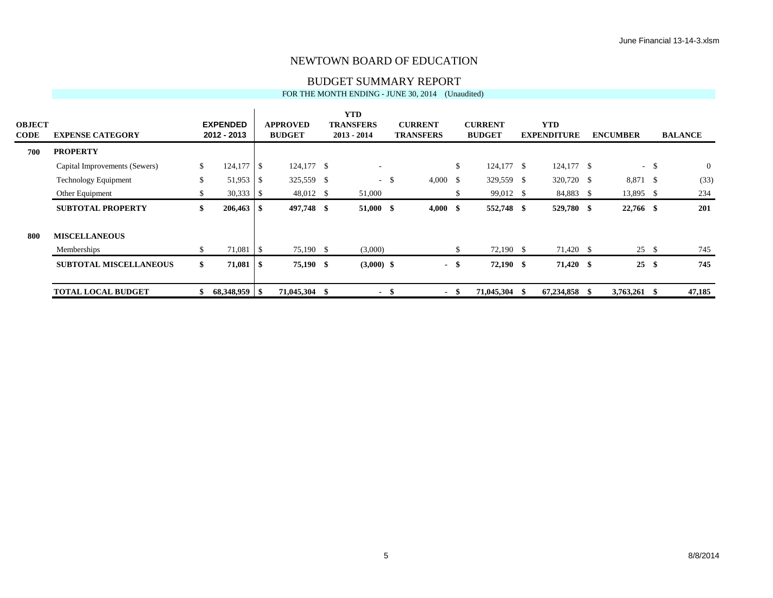#### BUDGET SUMMARY REPORT

| <b>OBJECT</b> |                               |     | <b>EXPENDED</b> |      | <b>APPROVED</b> |      | <b>YTD</b><br><b>TRANSFERS</b> |        | <b>CURRENT</b>   |              | <b>CURRENT</b> |      | <b>YTD</b>         |      |                 |               |                |
|---------------|-------------------------------|-----|-----------------|------|-----------------|------|--------------------------------|--------|------------------|--------------|----------------|------|--------------------|------|-----------------|---------------|----------------|
| <b>CODE</b>   | <b>EXPENSE CATEGORY</b>       |     | 2012 - 2013     |      | <b>BUDGET</b>   |      | $2013 - 2014$                  |        | <b>TRANSFERS</b> |              | <b>BUDGET</b>  |      | <b>EXPENDITURE</b> |      | <b>ENCUMBER</b> |               | <b>BALANCE</b> |
| 700           | <b>PROPERTY</b>               |     |                 |      |                 |      |                                |        |                  |              |                |      |                    |      |                 |               |                |
|               | Capital Improvements (Sewers) | \$. | $124,177$ \\$   |      | 124,177 \$      |      | $\sim$                         |        |                  | $\mathbb{S}$ | $124,177$ \$   |      | 124,177 \$         |      | $\sim$ .        | <sup>\$</sup> | $\overline{0}$ |
|               | <b>Technology Equipment</b>   | \$  | 51,953          | l \$ | 325,559 \$      |      |                                | $-$ \$ | $4,000 \quad$ \$ |              | 329,559 \$     |      | 320,720 \$         |      | 8,871 \$        |               | (33)           |
|               | Other Equipment               |     |                 |      | 48,012 \$       |      | 51,000                         |        |                  | \$           | 99,012 \$      |      | 84,883 \$          |      | 13,895 \$       |               | 234            |
|               | <b>SUBTOTAL PROPERTY</b>      | \$  |                 |      | 497,748 \$      |      | 51,000 \$                      |        | 4,000            | - \$         | 552,748 \$     |      | 529,780 \$         |      | 22,766 \$       |               | 201            |
| 800           | <b>MISCELLANEOUS</b>          |     |                 |      |                 |      |                                |        |                  |              |                |      |                    |      |                 |               |                |
|               | Memberships                   |     | $71,081$ \$     |      | 75,190 \$       |      | (3,000)                        |        |                  | \$           | 72,190 \$      |      | 71,420 \$          |      | 25S             |               | 745            |
|               | <b>SUBTOTAL MISCELLANEOUS</b> | \$. |                 |      | 75,190 \$       |      | $(3,000)$ \$                   |        |                  | - \$         | $72,190$ \$    |      | 71,420 \$          |      | 25              | -\$           | 745            |
|               | <b>TOTAL LOCAL BUDGET</b>     |     | 68,348,959 \$   |      | 71,045,304      | - \$ | $\sim$                         | - 56   |                  | - \$         | 71,045,304     | - \$ | 67,234,858         | - \$ | 3,763,261 \$    |               | 47,185         |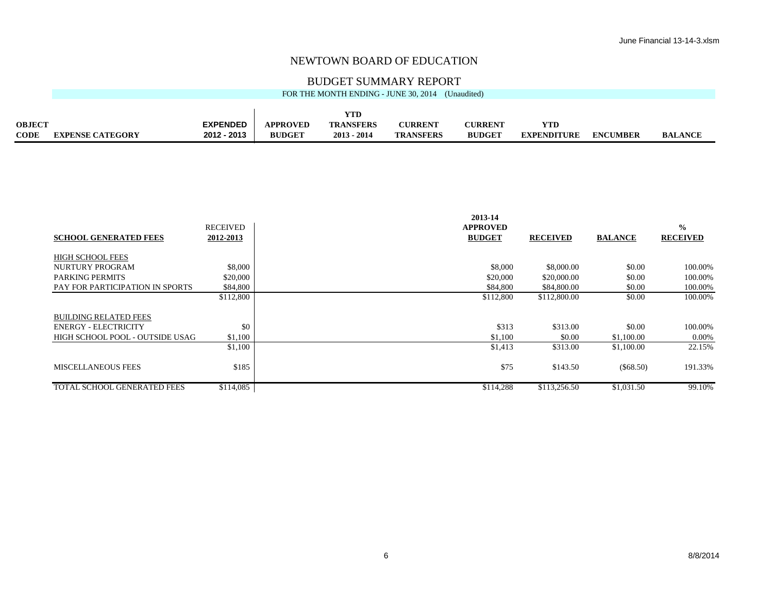#### BUDGET SUMMARY REPORT

|               | FOR THE MONTH ENDING - JUNE 30, 2014<br>(Unaudited) |                 |                 |                  |                  |                |                    |                 |                |  |  |  |  |
|---------------|-----------------------------------------------------|-----------------|-----------------|------------------|------------------|----------------|--------------------|-----------------|----------------|--|--|--|--|
|               |                                                     |                 |                 |                  |                  |                |                    |                 |                |  |  |  |  |
|               |                                                     |                 |                 | <b>YTD</b>       |                  |                |                    |                 |                |  |  |  |  |
| <b>OBJECT</b> |                                                     | <b>EXPENDED</b> | <b>APPROVED</b> | <b>TRANSFERS</b> | <b>CURRENT</b>   | <b>CURRENT</b> | <b>VTD</b>         |                 |                |  |  |  |  |
| <b>CODE</b>   | <b>EXPENSE CATEGORY</b>                             | 2012 - 2013     | <b>BUDGET</b>   | $2013 - 2014$    | <b>TRANSFERS</b> | <b>BUDGET</b>  | <b>EXPENDITURE</b> | <b>ENCUMBER</b> | <b>BALANCE</b> |  |  |  |  |

|                                    | <b>RECEIVED</b> | 2013-14<br><b>APPROVED</b> |                 |                | $\frac{0}{0}$   |
|------------------------------------|-----------------|----------------------------|-----------------|----------------|-----------------|
| <b>SCHOOL GENERATED FEES</b>       | 2012-2013       | <b>BUDGET</b>              | <b>RECEIVED</b> | <b>BALANCE</b> | <b>RECEIVED</b> |
| <b>HIGH SCHOOL FEES</b>            |                 |                            |                 |                |                 |
| NURTURY PROGRAM                    | \$8,000         | \$8,000                    | \$8,000.00      | \$0.00         | 100.00%         |
| <b>PARKING PERMITS</b>             | \$20,000        | \$20,000                   | \$20,000.00     | \$0.00         | 100.00%         |
| PAY FOR PARTICIPATION IN SPORTS    | \$84,800        | \$84,800                   | \$84,800.00     | \$0.00         | 100.00%         |
|                                    | \$112,800       | \$112,800                  | \$112,800.00    | \$0.00         | 100.00%         |
| <b>BUILDING RELATED FEES</b>       |                 |                            |                 |                |                 |
| <b>ENERGY - ELECTRICITY</b>        | \$0             | \$313                      | \$313.00        | \$0.00         | 100.00%         |
| HIGH SCHOOL POOL - OUTSIDE USAG    | \$1,100         | \$1,100                    | \$0.00          | \$1,100.00     | $0.00\%$        |
|                                    | \$1,100         | \$1,413                    | \$313.00        | \$1,100.00     | 22.15%          |
| <b>MISCELLANEOUS FEES</b>          | \$185           | \$75                       | \$143.50        | $(\$68.50)$    | 191.33%         |
| <b>TOTAL SCHOOL GENERATED FEES</b> | \$114,085       | \$114,288                  | \$113,256.50    | \$1,031.50     | 99.10%          |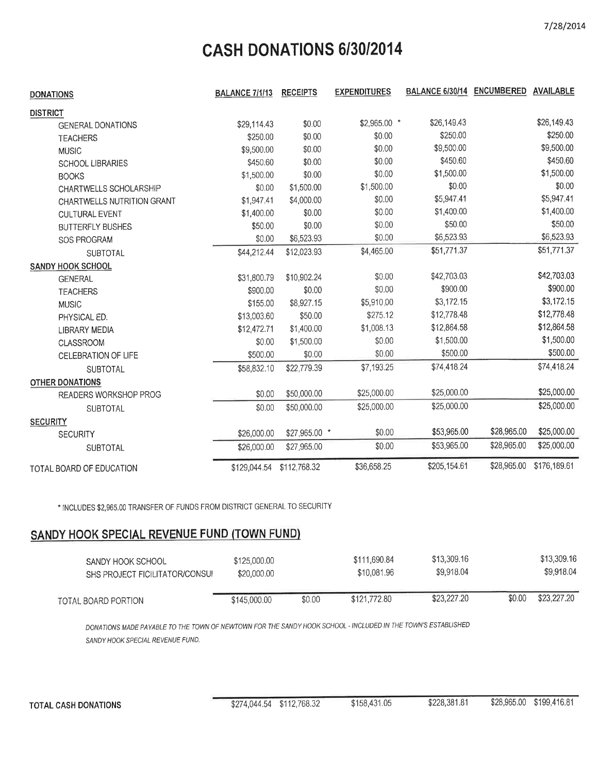# CASH DONATIONS 6/30/2014

| <b>DONATIONS</b>           | <b>BALANCE 7/1/13</b> | <b>RECEIPTS</b> | <b>EXPENDITURES</b> | <b>BALANCE 6/30/14</b> | <b>ENCUMBERED</b> | <b>AVAILABLE</b> |
|----------------------------|-----------------------|-----------------|---------------------|------------------------|-------------------|------------------|
| <b>DISTRICT</b>            |                       |                 |                     |                        |                   |                  |
| <b>GENERAL DONATIONS</b>   | \$29,114.43           | \$0.00          | \$2,965.00 *        | \$26,149.43            |                   | \$26,149.43      |
| <b>TEACHERS</b>            | \$250.00              | \$0.00          | \$0.00              | \$250.00               |                   | \$250.00         |
| <b>MUSIC</b>               | \$9,500.00            | \$0.00          | \$0.00              | \$9,500.00             |                   | \$9,500.00       |
| <b>SCHOOL LIBRARIES</b>    | \$450.60              | \$0.00          | \$0.00              | \$450.60               |                   | \$450.60         |
| <b>BOOKS</b>               | \$1,500.00            | \$0.00          | \$0.00              | \$1,500.00             |                   | \$1,500.00       |
| CHARTWELLS SCHOLARSHIP     | \$0.00                | \$1,500.00      | \$1,500.00          | \$0.00                 |                   | \$0.00           |
| CHARTWELLS NUTRITION GRANT | \$1,947.41            | \$4,000.00      | \$0.00              | \$5,947.41             |                   | \$5,947.41       |
| <b>CULTURAL EVENT</b>      | \$1,400.00            | \$0.00          | \$0.00              | \$1,400.00             |                   | \$1,400.00       |
| <b>BUTTERFLY BUSHES</b>    | \$50.00               | \$0.00          | \$0.00              | \$50.00                |                   | \$50.00          |
| SOS PROGRAM                | \$0.00                | \$6,523.93      | \$0.00              | \$6,523.93             |                   | \$6,523.93       |
| <b>SUBTOTAL</b>            | \$44,212.44           | \$12,023.93     | \$4,465.00          | \$51,771.37            |                   | \$51,771.37      |
| SANDY HOOK SCHOOL          |                       |                 |                     |                        |                   |                  |
| <b>GENERAL</b>             | \$31,800.79           | \$10,902.24     | \$0.00              | \$42,703.03            |                   | \$42,703.03      |
| <b>TEACHERS</b>            | \$900.00              | \$0.00          | \$0.00              | \$900.00               |                   | \$900.00         |
| <b>MUSIC</b>               | \$155.00              | \$8,927.15      | \$5,910.00          | \$3,172.15             |                   | \$3,172.15       |
| PHYSICAL ED.               | \$13,003.60           | \$50.00         | \$275.12            | \$12,778.48            |                   | \$12,778.48      |
| <b>LIBRARY MEDIA</b>       | \$12,472.71           | \$1,400.00      | \$1,008.13          | \$12,864.58            |                   | \$12,864.58      |
| CLASSROOM                  | \$0.00                | \$1,500.00      | \$0.00              | \$1,500.00             |                   | \$1,500.00       |
| <b>CELEBRATION OF LIFE</b> | \$500.00              | \$0.00          | \$0.00              | \$500.00               |                   | \$500.00         |
| <b>SUBTOTAL</b>            | \$58,832.10           | \$22,779.39     | \$7,193.25          | \$74,418.24            |                   | \$74,418.24      |
| <b>OTHER DONATIONS</b>     |                       |                 |                     |                        |                   |                  |
| READERS WORKSHOP PROG      | \$0.00                | \$50,000.00     | \$25,000.00         | \$25,000.00            |                   | \$25,000.00      |
| <b>SUBTOTAL</b>            | \$0.00                | \$50,000.00     | \$25,000.00         | \$25,000.00            |                   | \$25,000.00      |
| <b>SECURITY</b>            |                       |                 |                     |                        |                   |                  |
| <b>SECURITY</b>            | \$26,000.00           | \$27,965.00 *   | \$0.00              | \$53,965.00            | \$28,965.00       | \$25,000.00      |
| <b>SUBTOTAL</b>            | \$26,000.00           | \$27,965.00     | \$0.00              | \$53,965.00            | \$28,965.00       | \$25,000.00      |
| TOTAL BOARD OF EDUCATION   | \$129,044.54          | \$112,768.32    | \$36,658.25         | \$205,154.61           | \$28,965.00       | \$176,189.61     |

\* INCLUDES \$2,965.00 TRANSFER OF FUNDS FROM DISTRICT GENERAL TO SECURITY

# SANDY HOOK SPECIAL REVENUE FUND (TOWN FUND)

| SANDY HOOK SCHOOL<br>SHS PROJECT FICILITATOR/CONSUL | \$125,000.00<br>\$20,000.00 |        | \$111.690.84<br>\$10.081.96 | \$13,309.16<br>\$9,918.04 |        | \$13,309.16<br>\$9,918.04 |
|-----------------------------------------------------|-----------------------------|--------|-----------------------------|---------------------------|--------|---------------------------|
| TOTAL BOARD PORTION                                 | \$145,000.00                | \$0.00 | \$121,772.80                | \$23,227.20               | \$0.00 | \$23,227,20               |

DONATIONS MADE PAYABLE TO THE TOWN OF NEWTOWN FOR THE SANDY HOOK SCHOOL - INCLUDED IN THE TOWN'S ESTABLISHED SANDY HOOK SPECIAL REVENUE FUND.